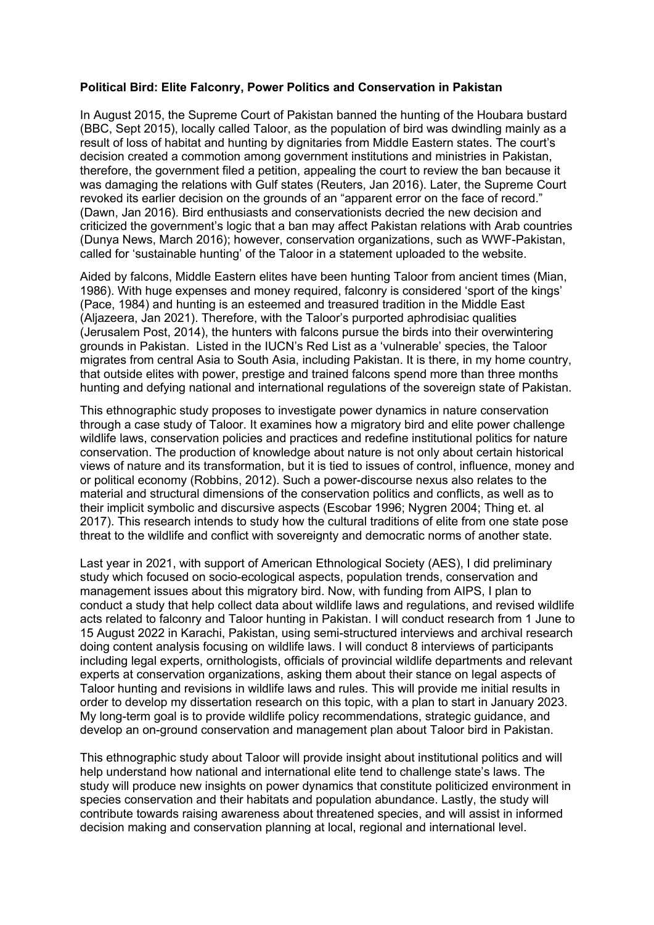## **Political Bird: Elite Falconry, Power Politics and Conservation in Pakistan**

In August 2015, the Supreme Court of Pakistan banned the hunting of the Houbara bustard (BBC, Sept 2015), locally called Taloor, as the population of bird was dwindling mainly as a result of loss of habitat and hunting by dignitaries from Middle Eastern states. The court's decision created a commotion among government institutions and ministries in Pakistan, therefore, the government filed a petition, appealing the court to review the ban because it was damaging the relations with Gulf states (Reuters, Jan 2016). Later, the Supreme Court revoked its earlier decision on the grounds of an "apparent error on the face of record." (Dawn, Jan 2016). Bird enthusiasts and conservationists decried the new decision and criticized the government's logic that a ban may affect Pakistan relations with Arab countries (Dunya News, March 2016); however, conservation organizations, such as WWF-Pakistan, called for 'sustainable hunting' of the Taloor in a statement uploaded to the website.

Aided by falcons, Middle Eastern elites have been hunting Taloor from ancient times (Mian, 1986). With huge expenses and money required, falconry is considered 'sport of the kings' (Pace, 1984) and hunting is an esteemed and treasured tradition in the Middle East (Aljazeera, Jan 2021). Therefore, with the Taloor's purported aphrodisiac qualities (Jerusalem Post, 2014), the hunters with falcons pursue the birds into their overwintering grounds in Pakistan. Listed in the IUCN's Red List as a 'vulnerable' species, the Taloor migrates from central Asia to South Asia, including Pakistan. It is there, in my home country, that outside elites with power, prestige and trained falcons spend more than three months hunting and defying national and international regulations of the sovereign state of Pakistan.

This ethnographic study proposes to investigate power dynamics in nature conservation through a case study of Taloor. It examines how a migratory bird and elite power challenge wildlife laws, conservation policies and practices and redefine institutional politics for nature conservation. The production of knowledge about nature is not only about certain historical views of nature and its transformation, but it is tied to issues of control, influence, money and or political economy (Robbins, 2012). Such a power-discourse nexus also relates to the material and structural dimensions of the conservation politics and conflicts, as well as to their implicit symbolic and discursive aspects (Escobar 1996; Nygren 2004; Thing et. al 2017). This research intends to study how the cultural traditions of elite from one state pose threat to the wildlife and conflict with sovereignty and democratic norms of another state.

Last year in 2021, with support of American Ethnological Society (AES), I did preliminary study which focused on socio-ecological aspects, population trends, conservation and management issues about this migratory bird. Now, with funding from AIPS, I plan to conduct a study that help collect data about wildlife laws and regulations, and revised wildlife acts related to falconry and Taloor hunting in Pakistan. I will conduct research from 1 June to 15 August 2022 in Karachi, Pakistan, using semi-structured interviews and archival research doing content analysis focusing on wildlife laws. I will conduct 8 interviews of participants including legal experts, ornithologists, officials of provincial wildlife departments and relevant experts at conservation organizations, asking them about their stance on legal aspects of Taloor hunting and revisions in wildlife laws and rules. This will provide me initial results in order to develop my dissertation research on this topic, with a plan to start in January 2023. My long-term goal is to provide wildlife policy recommendations, strategic guidance, and develop an on-ground conservation and management plan about Taloor bird in Pakistan.

This ethnographic study about Taloor will provide insight about institutional politics and will help understand how national and international elite tend to challenge state's laws. The study will produce new insights on power dynamics that constitute politicized environment in species conservation and their habitats and population abundance. Lastly, the study will contribute towards raising awareness about threatened species, and will assist in informed decision making and conservation planning at local, regional and international level.